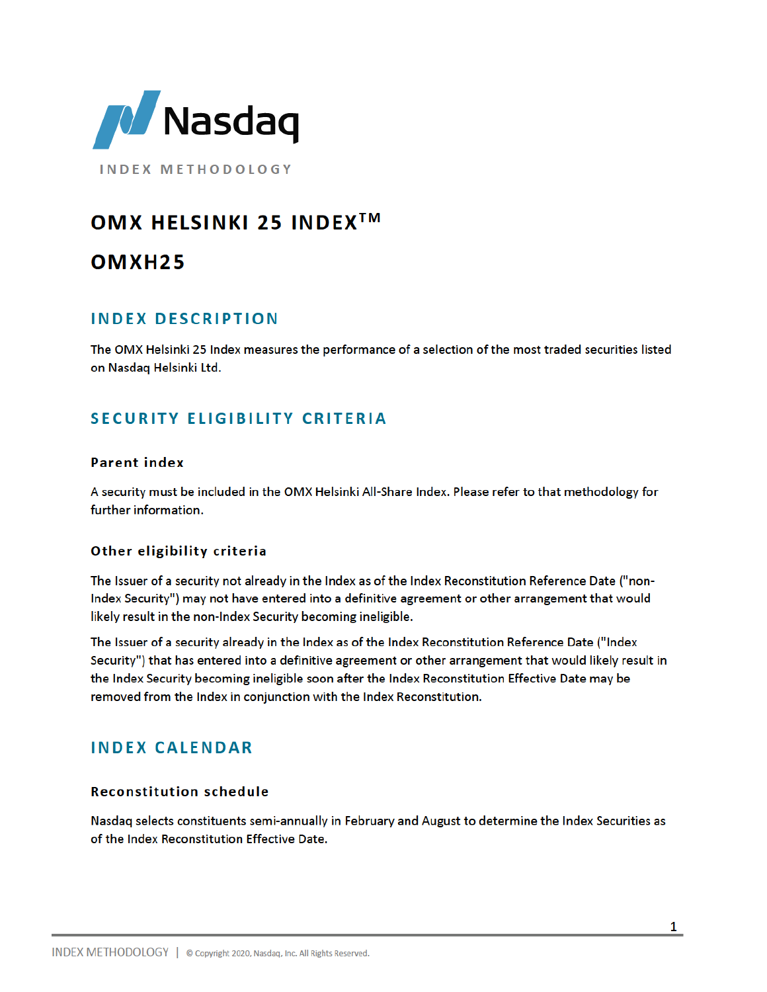

**INDEX METHODOLOGY** 

# OMX HELSINKI 25 INDEX<sup>™</sup>

# OMXH<sub>25</sub>

## **INDEX DESCRIPTION**

The OMX Helsinki 25 Index measures the performance of a selection of the most traded securities listed on Nasdag Helsinki Ltd.

## **SECURITY ELIGIBILITY CRITERIA**

## **Parent index**

A security must be included in the OMX Helsinki All-Share Index. Please refer to that methodology for further information.

## Other eligibility criteria

The Issuer of a security not already in the Index as of the Index Reconstitution Reference Date ("non-Index Security") may not have entered into a definitive agreement or other arrangement that would likely result in the non-Index Security becoming ineligible.

The Issuer of a security already in the Index as of the Index Reconstitution Reference Date ("Index Security") that has entered into a definitive agreement or other arrangement that would likely result in the Index Security becoming ineligible soon after the Index Reconstitution Effective Date may be removed from the Index in conjunction with the Index Reconstitution.

## **INDEX CALENDAR**

## **Reconstitution schedule**

Nasdaq selects constituents semi-annually in February and August to determine the Index Securities as of the Index Reconstitution Effective Date.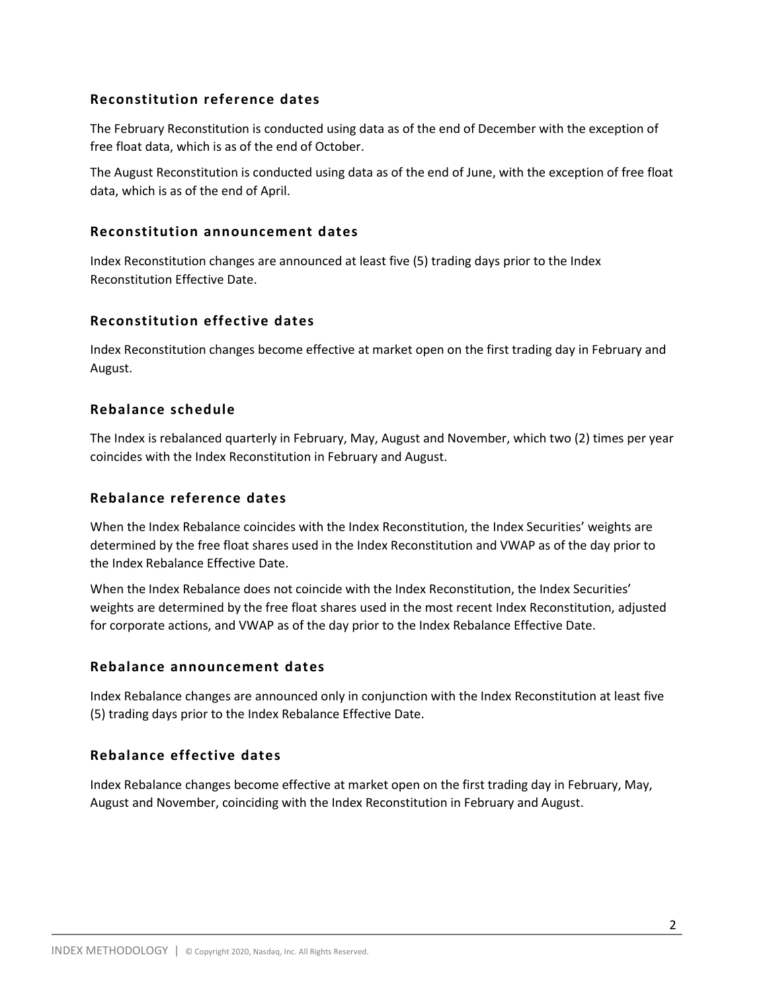## **Reconstitution reference dates**

The February Reconstitution is conducted using data as of the end of December with the exception of free float data, which is as of the end of October.

The August Reconstitution is conducted using data as of the end of June, with the exception of free float data, which is as of the end of April.

### **Reconstitution announcement dates**

Index Reconstitution changes are announced at least five (5) trading days prior to the Index Reconstitution Effective Date.

## **Reconstitution effective dates**

Index Reconstitution changes become effective at market open on the first trading day in February and August.

## **Rebalance schedule**

The Index is rebalanced quarterly in February, May, August and November, which two (2) times per year coincides with the Index Reconstitution in February and August.

### **Rebalance reference dates**

When the Index Rebalance coincides with the Index Reconstitution, the Index Securities' weights are determined by the free float shares used in the Index Reconstitution and VWAP as of the day prior to the Index Rebalance Effective Date.

When the Index Rebalance does not coincide with the Index Reconstitution, the Index Securities' weights are determined by the free float shares used in the most recent Index Reconstitution, adjusted for corporate actions, and VWAP as of the day prior to the Index Rebalance Effective Date.

## **Rebalance announcement dates**

Index Rebalance changes are announced only in conjunction with the Index Reconstitution at least five (5) trading days prior to the Index Rebalance Effective Date.

## **Rebalance effective dates**

Index Rebalance changes become effective at market open on the first trading day in February, May, August and November, coinciding with the Index Reconstitution in February and August.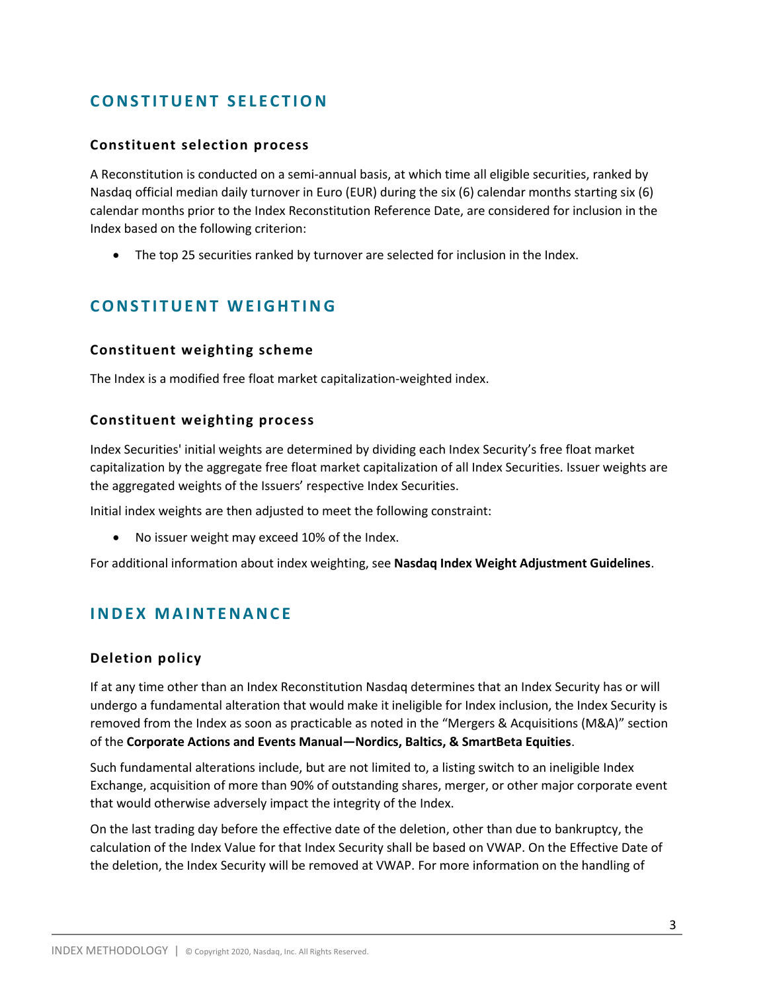## **CONSTITUENT SELECTION**

## **Constituent selection process**

A Reconstitution is conducted on a semi-annual basis, at which time all eligible securities, ranked by Nasdaq official median daily turnover in Euro (EUR) during the six (6) calendar months starting six (6) calendar months prior to the Index Reconstitution Reference Date, are considered for inclusion in the Index based on the following criterion:

• The top 25 securities ranked by turnover are selected for inclusion in the Index.

## **CONSTITUENT WEIGHTING**

## **Constituent weighting scheme**

The Index is a modified free float market capitalization-weighted index.

#### **Constituent weighting process**

Index Securities' initial weights are determined by dividing each Index Security's free float market capitalization by the aggregate free float market capitalization of all Index Securities. Issuer weights are the aggregated weights of the Issuers' respective Index Securities.

Initial index weights are then adjusted to meet the following constraint:

No issuer weight may exceed 10% of the Index.

For additional information about index weighting, see **Nasdaq Index Weight Adjustment Guidelines**.

## **INDEX MAINTENANCE**

## **Deletion policy**

If at any time other than an Index Reconstitution Nasdaq determines that an Index Security has or will undergo a fundamental alteration that would make it ineligible for Index inclusion, the Index Security is removed from the Index as soon as practicable as noted in the "Mergers & Acquisitions (M&A)" section of the **Corporate Actions and Events Manual—Nordics, Baltics, & SmartBeta Equities**.

Such fundamental alterations include, but are not limited to, a listing switch to an ineligible Index Exchange, acquisition of more than 90% of outstanding shares, merger, or other major corporate event that would otherwise adversely impact the integrity of the Index.

On the last trading day before the effective date of the deletion, other than due to bankruptcy, the calculation of the Index Value for that Index Security shall be based on VWAP. On the Effective Date of the deletion, the Index Security will be removed at VWAP. For more information on the handling of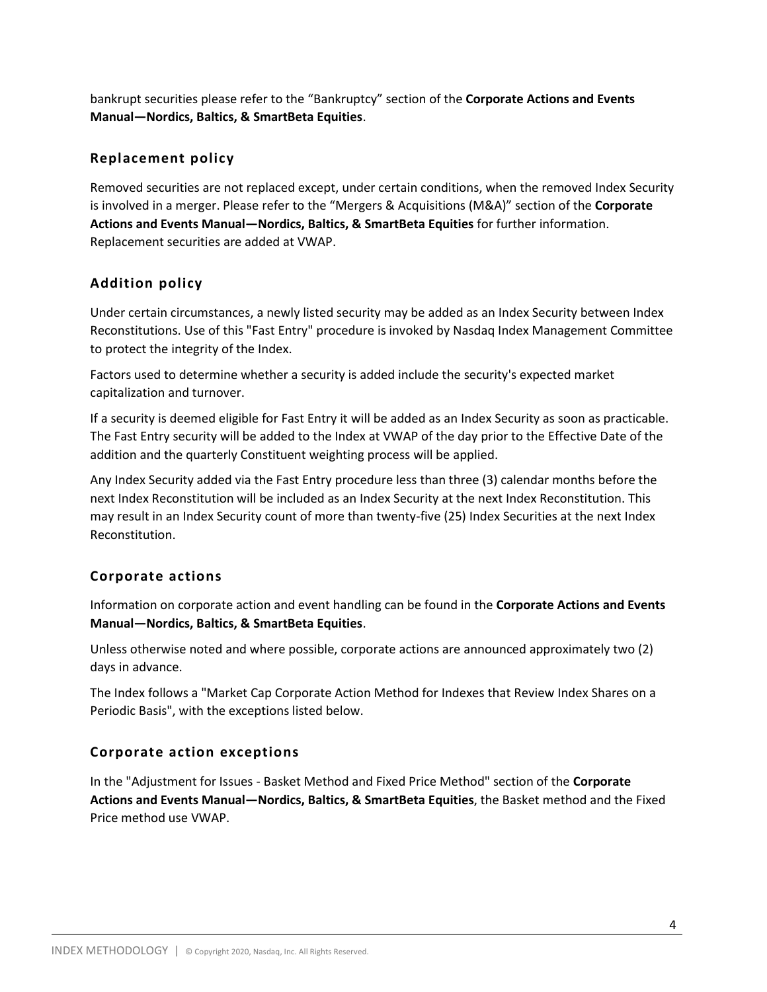bankrupt securities please refer to the "Bankruptcy" section of the **Corporate Actions and Events Manual—Nordics, Baltics, & SmartBeta Equities**.

## **Replacement policy**

Removed securities are not replaced except, under certain conditions, when the removed Index Security is involved in a merger. Please refer to the "Mergers & Acquisitions (M&A)" section of the **Corporate Actions and Events Manual—Nordics, Baltics, & SmartBeta Equities** for further information. Replacement securities are added at VWAP.

## **Addition policy**

Under certain circumstances, a newly listed security may be added as an Index Security between Index Reconstitutions. Use of this "Fast Entry" procedure is invoked by Nasdaq Index Management Committee to protect the integrity of the Index.

Factors used to determine whether a security is added include the security's expected market capitalization and turnover.

If a security is deemed eligible for Fast Entry it will be added as an Index Security as soon as practicable. The Fast Entry security will be added to the Index at VWAP of the day prior to the Effective Date of the addition and the quarterly Constituent weighting process will be applied.

Any Index Security added via the Fast Entry procedure less than three (3) calendar months before the next Index Reconstitution will be included as an Index Security at the next Index Reconstitution. This may result in an Index Security count of more than twenty-five (25) Index Securities at the next Index Reconstitution.

## **Corporate actions**

Information on corporate action and event handling can be found in the **Corporate Actions and Events Manual—Nordics, Baltics, & SmartBeta Equities**.

Unless otherwise noted and where possible, corporate actions are announced approximately two (2) days in advance.

The Index follows a "Market Cap Corporate Action Method for Indexes that Review Index Shares on a Periodic Basis", with the exceptions listed below.

## **Corporate action exceptions**

In the "Adjustment for Issues - Basket Method and Fixed Price Method" section of the **Corporate Actions and Events Manual—Nordics, Baltics, & SmartBeta Equities**, the Basket method and the Fixed Price method use VWAP.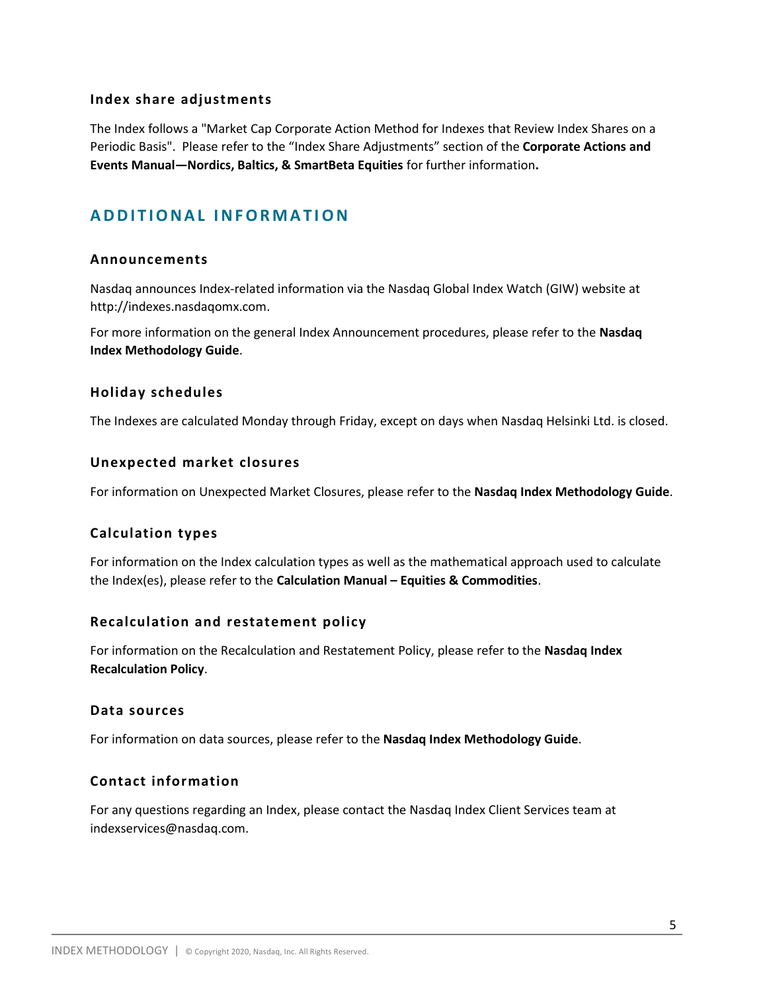#### **Index share adjustments**

The Index follows a "Market Cap Corporate Action Method for Indexes that Review Index Shares on a Periodic Basis". Please refer to the "Index Share Adjustments" section of the **Corporate Actions and Events Manual—Nordics, Baltics, & SmartBeta Equities** for further information**.**

## **A D D I T I O N A L I N F O R M A T IO N**

#### **Announcements**

Nasdaq announces Index-related information via the Nasdaq Global Index Watch (GIW) website at http://indexes.nasdaqomx.com.

For more information on the general Index Announcement procedures, please refer to the **Nasdaq Index Methodology Guide**.

#### **Holiday schedules**

The Indexes are calculated Monday through Friday, except on days when Nasdaq Helsinki Ltd. is closed.

#### **Unexpected market closures**

For information on Unexpected Market Closures, please refer to the **Nasdaq Index Methodology Guide**.

## **Calculation types**

For information on the Index calculation types as well as the mathematical approach used to calculate the Index(es), please refer to the **Calculation Manual – Equities & Commodities**.

#### **Recalculation and restatement policy**

For information on the Recalculation and Restatement Policy, please refer to the **Nasdaq Index Recalculation Policy**.

#### **Data sources**

For information on data sources, please refer to the **Nasdaq Index Methodology Guide**.

## **Contact information**

For any questions regarding an Index, please contact the Nasdaq Index Client Services team at indexservices@nasdaq.com.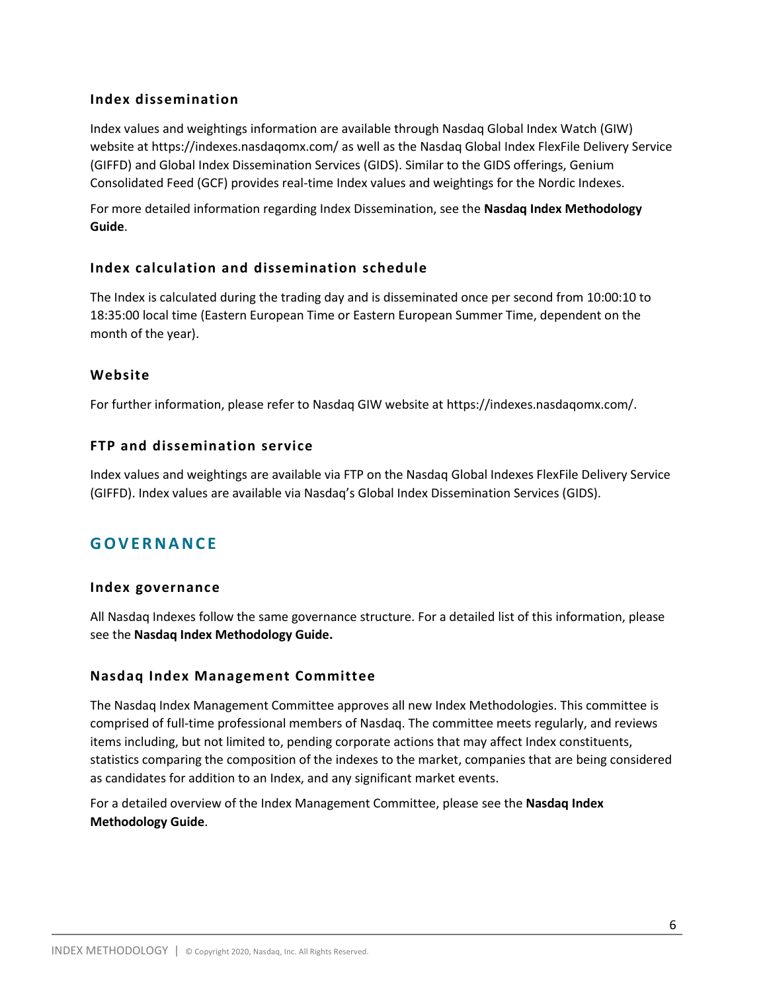## **Index dissemination**

Index values and weightings information are available through Nasdaq Global Index Watch (GIW) website at https://indexes.nasdaqomx.com/ as well as the Nasdaq Global Index FlexFile Delivery Service (GIFFD) and Global Index Dissemination Services (GIDS). Similar to the GIDS offerings, Genium Consolidated Feed (GCF) provides real-time Index values and weightings for the Nordic Indexes.

For more detailed information regarding Index Dissemination, see the **Nasdaq Index Methodology Guide**.

## **Index calculation and dissemination schedule**

The Index is calculated during the trading day and is disseminated once per second from 10:00:10 to 18:35:00 local time (Eastern European Time or Eastern European Summer Time, dependent on the month of the year).

## **Website**

For further information, please refer to Nasdaq GIW website at https://indexes.nasdaqomx.com/.

## **FTP and dissemination service**

Index values and weightings are available via FTP on the Nasdaq Global Indexes FlexFile Delivery Service (GIFFD). Index values are available via Nasdaq's Global Index Dissemination Services (GIDS).

## **G O V E R N A N C E**

## **Index governance**

All Nasdaq Indexes follow the same governance structure. For a detailed list of this information, please see the **Nasdaq Index Methodology Guide.**

## **Nasdaq Index Management Committee**

The Nasdaq Index Management Committee approves all new Index Methodologies. This committee is comprised of full-time professional members of Nasdaq. The committee meets regularly, and reviews items including, but not limited to, pending corporate actions that may affect Index constituents, statistics comparing the composition of the indexes to the market, companies that are being considered as candidates for addition to an Index, and any significant market events.

For a detailed overview of the Index Management Committee, please see the **Nasdaq Index Methodology Guide**.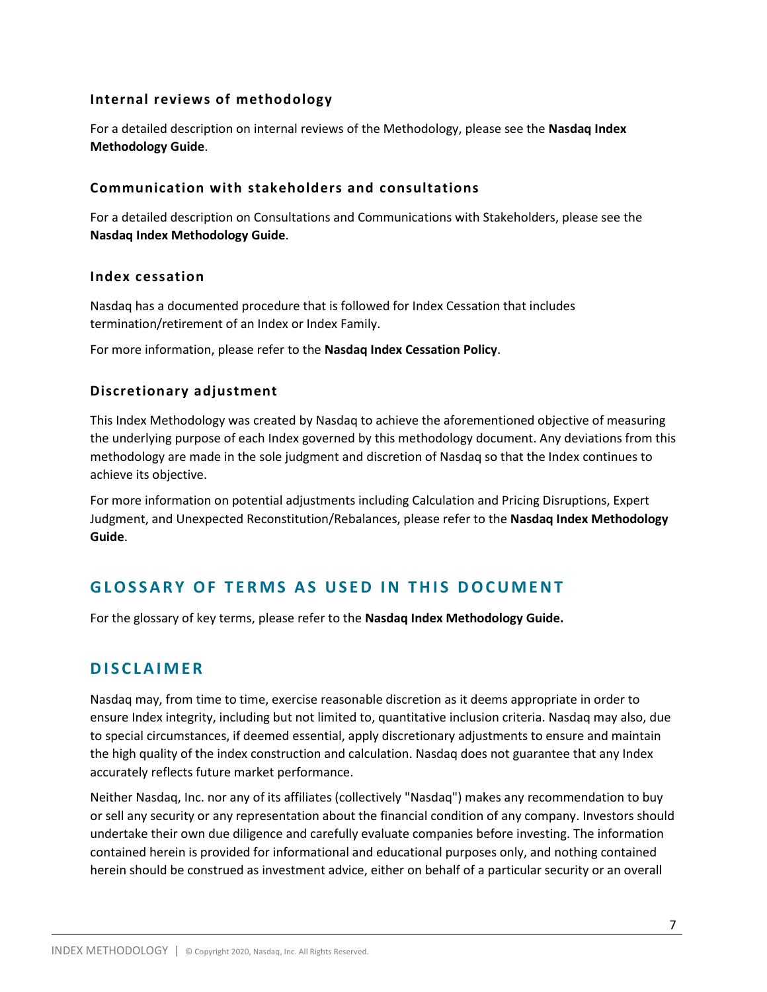## **Internal reviews of methodology**

For a detailed description on internal reviews of the Methodology, please see the **Nasdaq Index Methodology Guide**.

#### **Communication with stakeholders and consultations**

For a detailed description on Consultations and Communications with Stakeholders, please see the **Nasdaq Index Methodology Guide**.

#### **Index cessation**

Nasdaq has a documented procedure that is followed for Index Cessation that includes termination/retirement of an Index or Index Family.

For more information, please refer to the **Nasdaq Index Cessation Policy**.

## **Discretionary adjustment**

This Index Methodology was created by Nasdaq to achieve the aforementioned objective of measuring the underlying purpose of each Index governed by this methodology document. Any deviations from this methodology are made in the sole judgment and discretion of Nasdaq so that the Index continues to achieve its objective.

For more information on potential adjustments including Calculation and Pricing Disruptions, Expert Judgment, and Unexpected Reconstitution/Rebalances, please refer to the **Nasdaq Index Methodology Guide**.

## **GLOSSARY OF TERMS AS USED IN THIS DOCUMENT**

For the glossary of key terms, please refer to the **Nasdaq Index Methodology Guide.**

## **D I S C L A I M E R**

Nasdaq may, from time to time, exercise reasonable discretion as it deems appropriate in order to ensure Index integrity, including but not limited to, quantitative inclusion criteria. Nasdaq may also, due to special circumstances, if deemed essential, apply discretionary adjustments to ensure and maintain the high quality of the index construction and calculation. Nasdaq does not guarantee that any Index accurately reflects future market performance.

Neither Nasdaq, Inc. nor any of its affiliates (collectively "Nasdaq") makes any recommendation to buy or sell any security or any representation about the financial condition of any company. Investors should undertake their own due diligence and carefully evaluate companies before investing. The information contained herein is provided for informational and educational purposes only, and nothing contained herein should be construed as investment advice, either on behalf of a particular security or an overall